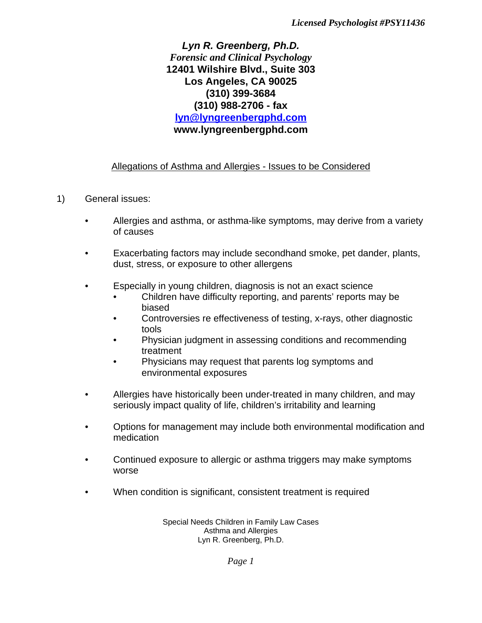## *Lyn R. Greenberg, Ph.D. Forensic and Clinical Psychology* **12401 Wilshire Blvd., Suite 303 Los Angeles, CA 90025 (310) 399-3684 (310) 988-2706 - fax lyn@lyngreenbergphd.com www.lyngreenbergphd.com**

## Allegations of Asthma and Allergies - Issues to be Considered

- 1) General issues:
	- Allergies and asthma, or asthma-like symptoms, may derive from a variety of causes
	- Exacerbating factors may include secondhand smoke, pet dander, plants, dust, stress, or exposure to other allergens
	- Especially in young children, diagnosis is not an exact science
		- Children have difficulty reporting, and parents' reports may be biased
		- Controversies re effectiveness of testing, x-rays, other diagnostic tools
		- Physician judgment in assessing conditions and recommending treatment
		- Physicians may request that parents log symptoms and environmental exposures
	- Allergies have historically been under-treated in many children, and may seriously impact quality of life, children's irritability and learning
	- Options for management may include both environmental modification and medication
	- Continued exposure to allergic or asthma triggers may make symptoms worse
	- When condition is significant, consistent treatment is required

Special Needs Children in Family Law Cases Asthma and Allergies Lyn R. Greenberg, Ph.D.

*Page 1*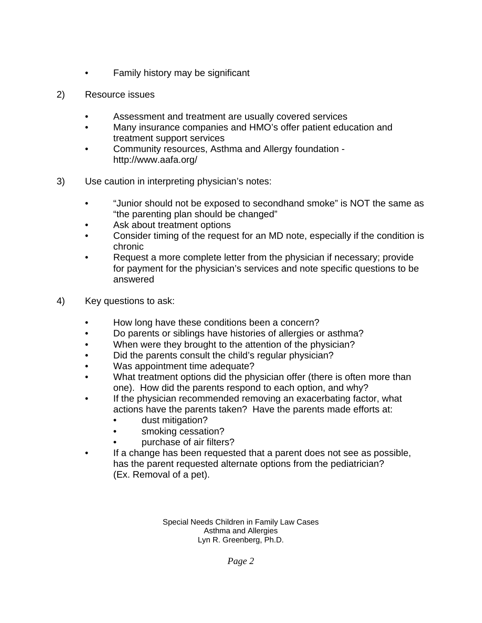- Family history may be significant
- 2) Resource issues
	- Assessment and treatment are usually covered services
	- Many insurance companies and HMO's offer patient education and treatment support services
	- Community resources, Asthma and Allergy foundation http://www.aafa.org/
- 3) Use caution in interpreting physician's notes:
	- "Junior should not be exposed to secondhand smoke" is NOT the same as "the parenting plan should be changed"
	- Ask about treatment options
	- Consider timing of the request for an MD note, especially if the condition is chronic
	- Request a more complete letter from the physician if necessary; provide for payment for the physician's services and note specific questions to be answered
- 4) Key questions to ask:
	- How long have these conditions been a concern?
	- Do parents or siblings have histories of allergies or asthma?
	- When were they brought to the attention of the physician?
	- Did the parents consult the child's regular physician?
	- Was appointment time adequate?
	- What treatment options did the physician offer (there is often more than one). How did the parents respond to each option, and why?
	- If the physician recommended removing an exacerbating factor, what actions have the parents taken? Have the parents made efforts at:
		- dust mitigation?
		- smoking cessation?
		- purchase of air filters?
	- If a change has been requested that a parent does not see as possible, has the parent requested alternate options from the pediatrician? (Ex. Removal of a pet).

Special Needs Children in Family Law Cases Asthma and Allergies Lyn R. Greenberg, Ph.D.